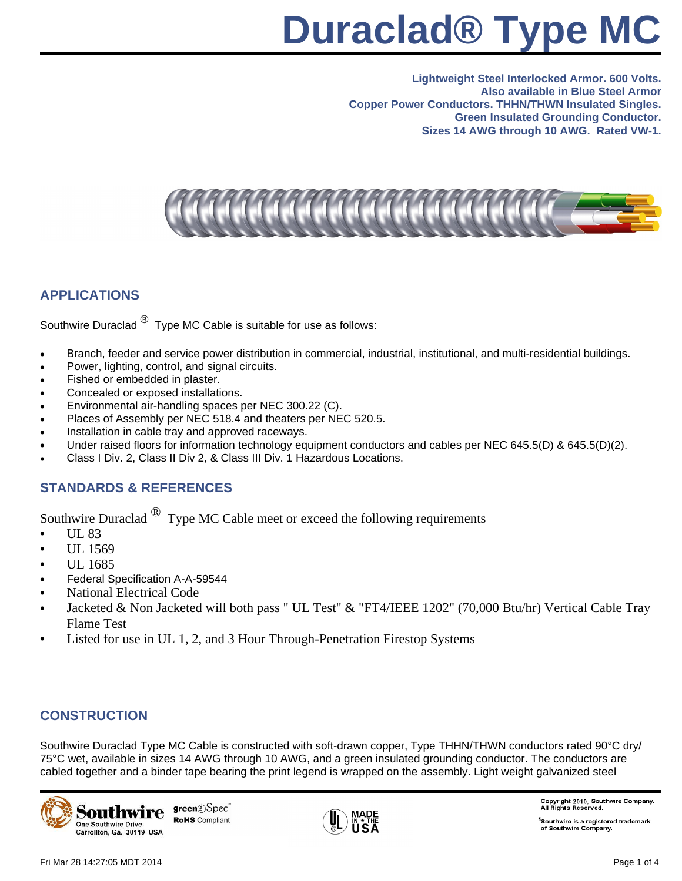# **Duraclad® Type MC**

**Lightweight Steel Interlocked Armor. 600 Volts. Also available in Blue Steel Armor Copper Power Conductors. THHN/THWN Insulated Singles. Green Insulated Grounding Conductor. Sizes 14 AWG through 10 AWG. Rated VW-1.**



### **APPLICATIONS**

Southwire Duraclad  $\bigcirc$  Type MC Cable is suitable for use as follows:

- Branch, feeder and service power distribution in commercial, industrial, institutional, and multi-residential buildings.
- Power, lighting, control, and signal circuits.
- Fished or embedded in plaster.
- Concealed or exposed installations.
- Environmental air-handling spaces per NEC 300.22 (C).
- Places of Assembly per NEC 518.4 and theaters per NEC 520.5.
- Installation in cable tray and approved raceways.
- Under raised floors for information technology equipment conductors and cables per NEC 645.5(D) & 645.5(D)(2).
- Class I Div. 2, Class II Div 2, & Class III Div. 1 Hazardous Locations.

#### **STANDARDS & REFERENCES**

Southwire Duraclad  $^{\circledR}$  Type MC Cable meet or exceed the following requirements

- UL 83
- UL 1569
- UL 1685
- Federal Specification A-A-59544
- National Electrical Code
- Jacketed & Non Jacketed will both pass " UL Test" & "FT4/IEEE 1202" (70,000 Btu/hr) Vertical Cable Tray Flame Test
- Listed for use in UL 1, 2, and 3 Hour Through-Penetration Firestop Systems

#### **CONSTRUCTION**

Southwire Duraclad Type MC Cable is constructed with soft-drawn copper, Type THHN/THWN conductors rated 90°C dry/ 75°C wet, available in sizes 14 AWG through 10 AWG, and a green insulated grounding conductor. The conductors are cabled together and a binder tape bearing the print legend is wrapped on the assembly. Light weight galvanized steel



green@Spec **RoHS** Compliant



Copyright 2010, Southwire Company.<br>All Rights Reserved.

 $^\circ$ Southwire is a registered trademark of Southwire Company.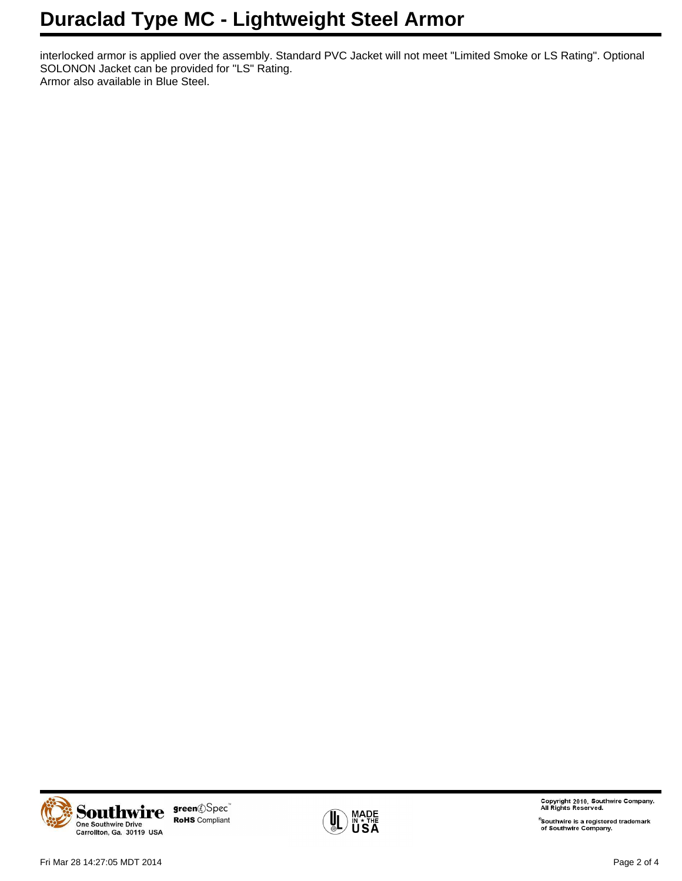## **Duraclad Type MC - Lightweight Steel Armor**

interlocked armor is applied over the assembly. Standard PVC Jacket will not meet "Limited Smoke or LS Rating". Optional SOLONON Jacket can be provided for "LS" Rating. Armor also available in Blue Steel.



green ©Spec` **RoHS** Compliant



Copyright 2010, Southwire Company.<br>All Rights Reserved.

<sup>®</sup>Southwire is a registered trademark<br>of Southwire Company.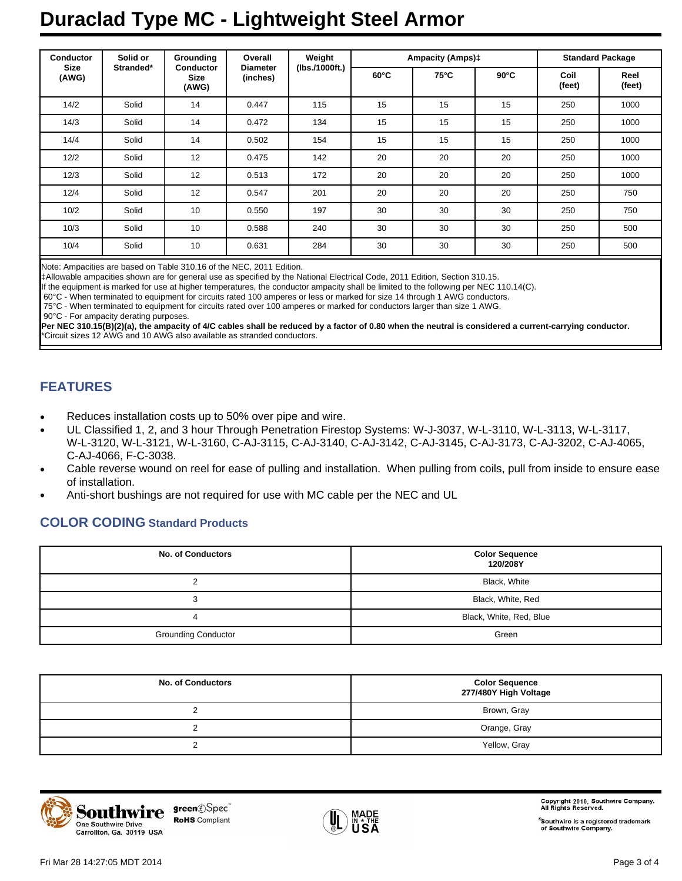# **Duraclad Type MC - Lightweight Steel Armor**

| <b>Conductor</b><br><b>Size</b><br>(AWG) | Solid or<br>Stranded* | Grounding<br><b>Conductor</b><br><b>Size</b><br>(AWG) | Overall<br><b>Diameter</b><br>(inches) | Weight<br>(lbs./1000ft.) | <b>Ampacity (Amps)‡</b> |      |                | <b>Standard Package</b> |                |
|------------------------------------------|-----------------------|-------------------------------------------------------|----------------------------------------|--------------------------|-------------------------|------|----------------|-------------------------|----------------|
|                                          |                       |                                                       |                                        |                          | $60^{\circ}$ C          | 75°C | $90^{\circ}$ C | Coil<br>(feet)          | Reel<br>(feet) |
| 14/2                                     | Solid                 | 14                                                    | 0.447                                  | 115                      | 15                      | 15   | 15             | 250                     | 1000           |
| 14/3                                     | Solid                 | 14                                                    | 0.472                                  | 134                      | 15                      | 15   | 15             | 250                     | 1000           |
| 14/4                                     | Solid                 | 14                                                    | 0.502                                  | 154                      | 15                      | 15   | 15             | 250                     | 1000           |
| 12/2                                     | Solid                 | 12                                                    | 0.475                                  | 142                      | 20                      | 20   | 20             | 250                     | 1000           |
| 12/3                                     | Solid                 | 12                                                    | 0.513                                  | 172                      | 20                      | 20   | 20             | 250                     | 1000           |
| 12/4                                     | Solid                 | 12                                                    | 0.547                                  | 201                      | 20                      | 20   | 20             | 250                     | 750            |
| 10/2                                     | Solid                 | 10                                                    | 0.550                                  | 197                      | 30                      | 30   | 30             | 250                     | 750            |
| 10/3                                     | Solid                 | 10                                                    | 0.588                                  | 240                      | 30                      | 30   | 30             | 250                     | 500            |
| 10/4                                     | Solid                 | 10                                                    | 0.631                                  | 284                      | 30                      | 30   | 30             | 250                     | 500            |

Note: Ampacities are based on Table 310.16 of the NEC, 2011 Edition.

‡Allowable ampacities shown are for general use as specified by the National Electrical Code, 2011 Edition, Section 310.15.

If the equipment is marked for use at higher temperatures, the conductor ampacity shall be limited to the following per NEC 110.14(C).

60°C - When terminated to equipment for circuits rated 100 amperes or less or marked for size 14 through 1 AWG conductors.

75°C - When terminated to equipment for circuits rated over 100 amperes or marked for conductors larger than size 1 AWG.

90°C - For ampacity derating purposes.

**Per NEC 310.15(B)(2)(a), the ampacity of 4/C cables shall be reduced by a factor of 0.80 when the neutral is considered a current-carrying conductor.** \*Circuit sizes 12 AWG and 10 AWG also available as stranded conductors.

### **FEATURES**

- Reduces installation costs up to 50% over pipe and wire.
- UL Classified 1, 2, and 3 hour Through Penetration Firestop Systems: W-J-3037, W-L-3110, W-L-3113, W-L-3117, W-L-3120, W-L-3121, W-L-3160, C-AJ-3115, C-AJ-3140, C-AJ-3142, C-AJ-3145, C-AJ-3173, C-AJ-3202, C-AJ-4065, C-AJ-4066, F-C-3038.
- Cable reverse wound on reel for ease of pulling and installation. When pulling from coils, pull from inside to ensure ease of installation.
- Anti-short bushings are not required for use with MC cable per the NEC and UL

#### **COLOR CODING Standard Products**

| <b>No. of Conductors</b>   | <b>Color Sequence</b><br>120/208Y |
|----------------------------|-----------------------------------|
|                            | Black, White                      |
|                            | Black, White, Red                 |
| 4                          | Black, White, Red, Blue           |
| <b>Grounding Conductor</b> | Green                             |

| <b>No. of Conductors</b> | <b>Color Sequence</b><br>277/480Y High Voltage |
|--------------------------|------------------------------------------------|
|                          | Brown, Gray                                    |
|                          | Orange, Gray                                   |
|                          | Yellow, Gray                                   |



green@Spec **RoHS** Compliant



Copyright 2010, Southwire Company.<br>All Rights Reserved.

®Southwire is a registered trademark<br>of Southwire Company.